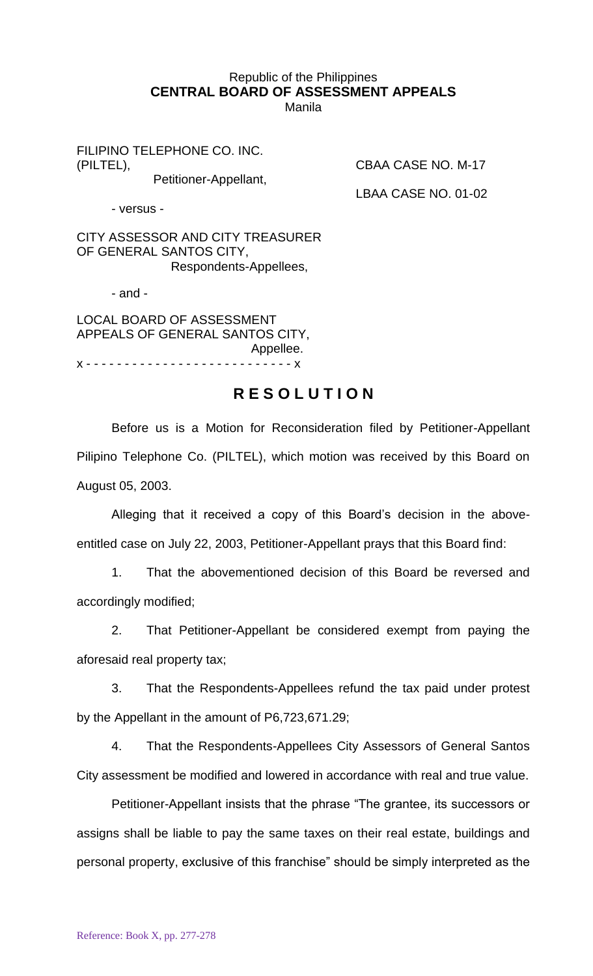## Republic of the Philippines **CENTRAL BOARD OF ASSESSMENT APPEALS** Manila

FILIPINO TELEPHONE CO. INC. (PILTEL), CBAA CASE NO. M-17

Petitioner-Appellant,

LBAA CASE NO. 01-02

- versus -

CITY ASSESSOR AND CITY TREASURER OF GENERAL SANTOS CITY, Respondents-Appellees,

- and -

LOCAL BOARD OF ASSESSMENT APPEALS OF GENERAL SANTOS CITY, Appellee. x - - - - - - - - - - - - - - - - - - - - - - - - - - - x

## **R E S O L U T I O N**

Before us is a Motion for Reconsideration filed by Petitioner-Appellant Pilipino Telephone Co. (PILTEL), which motion was received by this Board on August 05, 2003.

Alleging that it received a copy of this Board's decision in the aboveentitled case on July 22, 2003, Petitioner-Appellant prays that this Board find:

1. That the abovementioned decision of this Board be reversed and accordingly modified;

2. That Petitioner-Appellant be considered exempt from paying the aforesaid real property tax;

3. That the Respondents-Appellees refund the tax paid under protest by the Appellant in the amount of P6,723,671.29;

4. That the Respondents-Appellees City Assessors of General Santos City assessment be modified and lowered in accordance with real and true value.

Petitioner-Appellant insists that the phrase "The grantee, its successors or assigns shall be liable to pay the same taxes on their real estate, buildings and personal property, exclusive of this franchise" should be simply interpreted as the